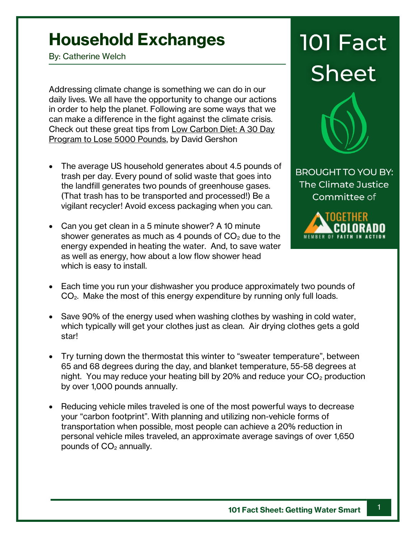## **Household Exchanges**

By: Catherine Welch

Addressing climate change is something we can do in our daily lives. We all have the opportunity to change our actions in order to help the planet. Following are some ways that we can make a difference in the fight against the climate crisis. Check out these great tips from Low Carbon Diet: A 30 Day Program to Lose 5000 Pounds, by David Gershon

- The average US household generates about 4.5 pounds of trash per day. Every pound of solid waste that goes into the landfill generates two pounds of greenhouse gases. (That trash has to be transported and processed!) Be a vigilant recycler! Avoid excess packaging when you can.
- Can you get clean in a 5 minute shower? A 10 minute shower generates as much as 4 pounds of  $CO<sub>2</sub>$  due to the energy expended in heating the water. And, to save water as well as energy, how about a low flow shower head which is easy to install.

## **101 Fact Sheet**



**BROUGHT TO YOU BY:** The Climate Justice Committee of



- Each time you run your dishwasher you produce approximately two pounds of CO2. Make the most of this energy expenditure by running only full loads.
- Save 90% of the energy used when washing clothes by washing in cold water, which typically will get your clothes just as clean. Air drying clothes gets a gold star!
- Try turning down the thermostat this winter to "sweater temperature", between 65 and 68 degrees during the day, and blanket temperature, 55-58 degrees at night. You may reduce your heating bill by 20% and reduce your  $CO<sub>2</sub>$  production by over 1,000 pounds annually.
- Reducing vehicle miles traveled is one of the most powerful ways to decrease your "carbon footprint". With planning and utilizing non-vehicle forms of transportation when possible, most people can achieve a 20% reduction in personal vehicle miles traveled, an approximate average savings of over 1,650 pounds of  $CO<sub>2</sub>$  annually.